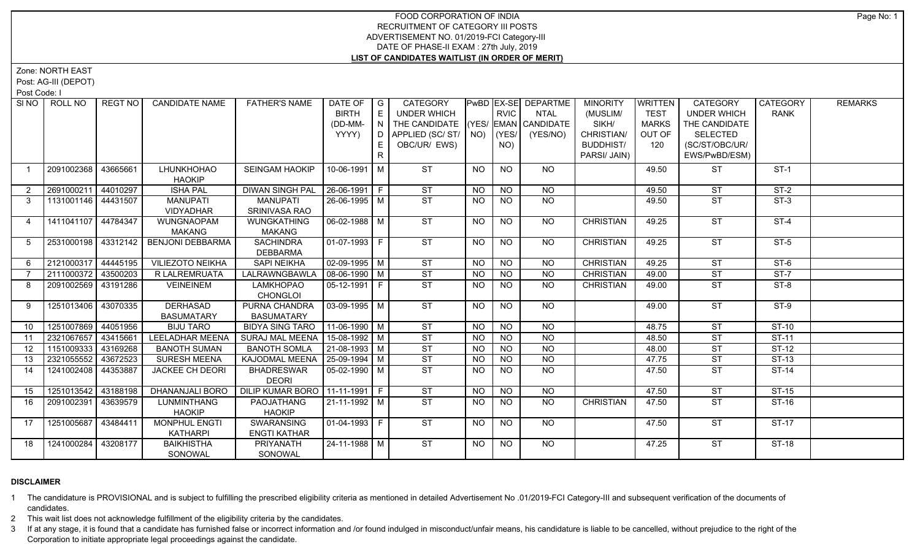Zone: NORTH EAST

Post: AG-III (DEPOT)

Post Code: I

| SI NO          | ROLL NO             | <b>REGT NO</b> | <b>CANDIDATE NAME</b>   | <b>FATHER'S NAME</b>              | DATE OF $ G $          |    | <b>CATEGORY</b>                    |                |                 | PwBD EX-SE DEPARTME | <b>MINORITY</b>  | WRITTEN      | CATEGORY               | <b>CATEGORY</b> | <b>REMARKS</b> |
|----------------|---------------------|----------------|-------------------------|-----------------------------------|------------------------|----|------------------------------------|----------------|-----------------|---------------------|------------------|--------------|------------------------|-----------------|----------------|
|                |                     |                |                         |                                   | <b>BIRTH</b>           | E  | UNDER WHICH                        |                | <b>RVIC</b>     | <b>NTAL</b>         | (MUSLIM/         | <b>TEST</b>  | <b>UNDER WHICH</b>     | <b>RANK</b>     |                |
|                |                     |                |                         |                                   | (DD-MM-                |    | THE CANDIDATE (YES/ EMAN CANDIDATE |                |                 |                     | SIKH/            | <b>MARKS</b> | THE CANDIDATE          |                 |                |
|                |                     |                |                         |                                   | YYYY)                  |    | D   APPLIED (SC/ ST/   NO)         |                | $ $ (YES/       | (YES/NO)            | CHRISTIAN/       | OUT OF       | SELECTED               |                 |                |
|                |                     |                |                         |                                   |                        |    | OBC/UR/ EWS)                       |                | NO)             |                     | <b>BUDDHIST/</b> | 120          | (SC/ST/OBC/UR/         |                 |                |
|                |                     |                |                         |                                   |                        | R. |                                    |                |                 |                     | PARSI/ JAIN)     |              | EWS/PwBD/ESM)          |                 |                |
|                | 2091002368          | 43665661       | LHUNKHOHAO              | <b>SEINGAM HAOKIP</b>             | 10-06-1991 M           |    | <b>ST</b>                          | <b>NO</b>      | <b>NO</b>       | <b>NO</b>           |                  | 49.50        | <b>ST</b>              | $ST-1$          |                |
|                |                     |                | <b>HAOKIP</b>           |                                   |                        |    |                                    |                |                 |                     |                  |              |                        |                 |                |
| 2              | 2691000211 44010297 |                | <b>ISHA PAL</b>         | DIWAN SINGH PAL   26-06-1991   F  |                        |    | ST                                 | <b>NO</b>      | <b>NO</b>       | <b>NO</b>           |                  | 49.50        | <b>ST</b>              | $ST-2$          |                |
| $\mathbf{3}$   | 1131001146 44431507 |                | <b>MANUPATI</b>         | <b>MANUPATI</b>                   | 26-06-1995 M           |    | <b>ST</b>                          | <b>NO</b>      | <b>NO</b>       | <b>NO</b>           |                  | 49.50        | <b>ST</b>              | $ST-3$          |                |
|                |                     |                | <b>VIDYADHAR</b>        | SRINIVASA RAO                     |                        |    |                                    |                |                 |                     |                  |              |                        |                 |                |
| $\overline{4}$ | 1411041107 44784347 |                | <b>WUNGNAOPAM</b>       | <b>WUNGKATHING</b>                | 06-02-1988 M           |    | ST                                 | NO.            | $\overline{NQ}$ | NO                  | <b>CHRISTIAN</b> | 49.25        | ST                     | $ST-4$          |                |
|                |                     |                | <b>MAKANG</b>           | <b>MAKANG</b>                     |                        |    |                                    |                |                 |                     |                  |              |                        |                 |                |
| 5 <sup>5</sup> | 2531000198 43312142 |                | <b>BENJONI DEBBARMA</b> | <b>SACHINDRA</b>                  | $ 01-07-1993 F$        |    | ST                                 | <b>NO</b>      | <b>NO</b>       | NO                  | <b>CHRISTIAN</b> | 49.25        | <b>ST</b>              | $ST-5$          |                |
|                |                     |                |                         | <b>DEBBARMA</b>                   |                        |    |                                    |                |                 |                     |                  |              |                        |                 |                |
| 6              | 2121000317 44445195 |                | <b>VILIEZOTO NEIKHA</b> | <b>SAPI NEIKHA</b>                | $\boxed{02-09-1995}$ M |    | ST                                 | NO.            | <b>NO</b>       | <b>NO</b>           | <b>CHRISTIAN</b> | 49.25        | $\overline{\text{ST}}$ | $ST-6$          |                |
|                | 2111000372 43500203 |                | R LALREMRUATA           | LALRAWNGBAWLA                     | $\sqrt{08-06-1990}$ M  |    | ST                                 | <b>NO</b>      | <b>NO</b>       | <b>NO</b>           | <b>CHRISTIAN</b> | 49.00        | <b>ST</b>              | $ST-7$          |                |
| 8              | 2091002569 43191286 |                | <b>VEINEINEM</b>        | <b>LAMKHOPAO</b>                  | $05 - 12 - 1991$ F     |    | ST                                 | NO.            | NO              | NO                  | <b>CHRISTIAN</b> | 49.00        | <b>ST</b>              | $ST-8$          |                |
|                |                     |                |                         | <b>CHONGLOI</b>                   |                        |    |                                    |                |                 |                     |                  |              |                        |                 |                |
| 9              | 1251013406 43070335 |                | <b>DERHASAD</b>         | PURNA CHANDRA                     | $\sqrt{03-09-1995}$ M  |    | $\overline{\text{ST}}$             | <b>NO</b>      | <b>NO</b>       | $N$ <sup>O</sup>    |                  | 49.00        | ST                     | $ST-9$          |                |
|                |                     |                | <b>BASUMATARY</b>       | <b>BASUMATARY</b>                 |                        |    |                                    |                |                 |                     |                  |              |                        |                 |                |
| 10             | 1251007869 44051956 |                | <b>BIJU TARO</b>        | <b>BIDYA SING TARO</b>            | 11-06-1990 M           |    | <b>ST</b>                          | <b>NO</b>      | <b>NO</b>       | <b>NO</b>           |                  | 48.75        | <b>ST</b>              | <b>ST-10</b>    |                |
| 11             | 2321067657 43415661 |                | <b>LEELADHAR MEENA</b>  | SURAJ MAL MEENA   15-08-1992   M  |                        |    | ST                                 | <b>NO</b>      | <b>NO</b>       | <b>NO</b>           |                  | 48.50        | <b>ST</b>              | <b>ST-11</b>    |                |
| 12             | 1151009333 43169268 |                | <b>BANOTH SUMAN</b>     | <b>BANOTH SOMLA</b>               | $21-08-1993$ M         |    | ST                                 | <b>NO</b>      | <b>NO</b>       | <b>NO</b>           |                  | 48.00        | <b>ST</b>              | ST-12           |                |
| 13             | 2321055552          | 43672523       | <b>SURESH MEENA</b>     | KAJODMAL MEENA   25-09-1994   M   |                        |    | <b>ST</b>                          | NO.            | <b>NO</b>       | <b>NO</b>           |                  | 47.75        | <b>ST</b>              | ST-13           |                |
| 14             | 1241002408 44353887 |                | <b>JACKEE CH DEORI</b>  | <b>BHADRESWAR</b>                 | 05-02-1990   M         |    | ST                                 | <b>NO</b>      | <b>NO</b>       | <b>NO</b>           |                  | 47.50        | <b>ST</b>              | $ST-14$         |                |
|                |                     |                |                         | <b>DEORI</b>                      |                        |    |                                    |                |                 |                     |                  |              |                        |                 |                |
| 15             | 1251013542 43188198 |                | <b>DHANANJALI BORO</b>  | DILIP KUMAR BORO   11-11-1991   F |                        |    | ST                                 | N <sub>O</sub> | $\overline{NO}$ | $\overline{NO}$     |                  | 47.50        | ST                     | $ST-15$         |                |
| 16             | 2091002391 43639579 |                | LUNMINTHANG             | PAOJATHANG                        | 21-11-1992   M         |    | $\overline{\text{ST}}$             | NO.            | <b>NO</b>       | <b>NO</b>           | <b>CHRISTIAN</b> | 47.50        | <b>ST</b>              | $ST-16$         |                |
|                |                     |                | <b>HAOKIP</b>           | <b>HAOKIP</b>                     |                        |    |                                    |                |                 |                     |                  |              |                        |                 |                |
| 17             | 1251005687 43484411 |                | MONPHUL ENGTI           | SWARANSING                        | 01-04-1993   F         |    | ST                                 | <b>NO</b>      | NO              | NO                  |                  | 47.50        | <b>ST</b>              | ST-17           |                |
|                |                     |                | <b>KATHARPI</b>         | <b>ENGTI KATHAR</b>               |                        |    |                                    |                |                 |                     |                  |              |                        |                 |                |
| 18             | 1241000284          | 43208177       | <b>BAIKHISTHA</b>       | <b>PRIYANATH</b>                  | $24 - 11 - 1988$ M     |    | ST                                 | NO             | NO.             | $N$ O               |                  | 47.25        | ST                     | $ST-18$         |                |
|                |                     |                | SONOWAL                 | SONOWAL                           |                        |    |                                    |                |                 |                     |                  |              |                        |                 |                |

# **DISCLAIMER**

1 The candidature is PROVISIONAL and is subject to fulfilling the prescribed eligibility criteria as mentioned in detailed Advertisement No .01/2019-FCI Category-III and subsequent verification of the documents of candidates.

2 This wait list does not acknowledge fulfillment of the eligibility criteria by the candidates.

3 If at any stage, it is found that a candidate has furnished false or incorrect information and /or found indulged in misconduct/unfair means, his candidature is liable to be cancelled, without prejudice to the right of t Corporation to initiate appropriate legal proceedings against the candidate.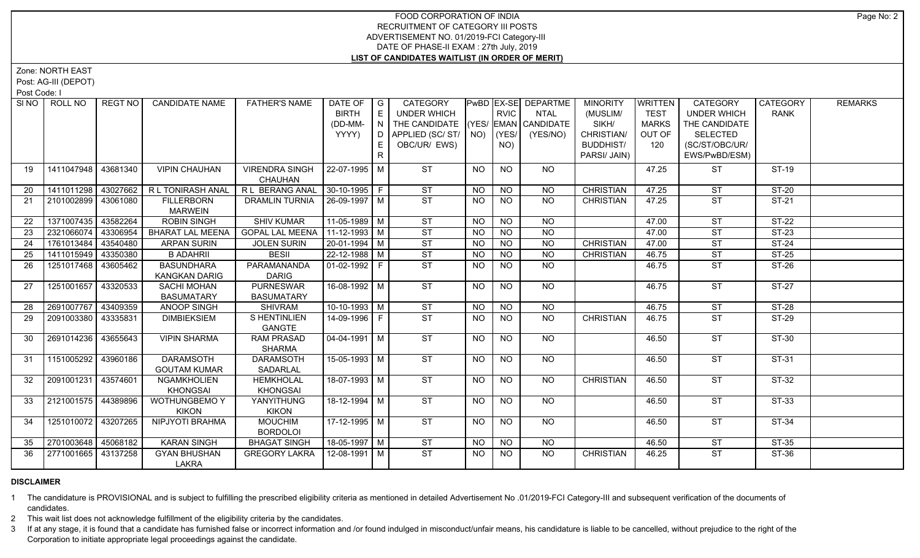Zone: NORTH EAST

Post: AG-III (DEPOT)

Post Code: I

| SI NO | ROLL NO             | REGT NO  | <b>CANDIDATE NAME</b>   | <b>FATHER'S NAME</b>             | DATE OF   G             |       | <b>CATEGORY</b>                    |           |                 | PwBD EX-SE DEPARTME | <b>MINORITY</b>  | WRITTEN      | <b>CATEGORY</b>        | CATEGORY     | <b>REMARKS</b> |
|-------|---------------------|----------|-------------------------|----------------------------------|-------------------------|-------|------------------------------------|-----------|-----------------|---------------------|------------------|--------------|------------------------|--------------|----------------|
|       |                     |          |                         |                                  | <b>BIRTH</b>            | E     | UNDER WHICH                        |           | <b>RVIC</b>     | NTAL                | (MUSLIM/         | <b>TEST</b>  | <b>UNDER WHICH</b>     | <b>RANK</b>  |                |
|       |                     |          |                         |                                  | (DD-MM-                 | I N I | THE CANDIDATE (YES/ EMAN CANDIDATE |           |                 |                     | SIKH/            | <b>MARKS</b> | THE CANDIDATE          |              |                |
|       |                     |          |                         |                                  | YYYY)                   |       | D   APPLIED (SC/ ST/   NO)         |           | YES             | (YES/NO)            | CHRISTIAN/       | OUT OF       | <b>SELECTED</b>        |              |                |
|       |                     |          |                         |                                  |                         | E     | OBC/UR/ EWS)                       |           | NO)             |                     | <b>BUDDHIST/</b> | 120          | (SC/ST/OBC/UR/         |              |                |
|       |                     |          |                         |                                  |                         | R     |                                    |           |                 |                     | PARSI/ JAIN)     |              | EWS/PwBD/ESM)          |              |                |
| 19    | 1411047948 43681340 |          | <b>VIPIN CHAUHAN</b>    | <b>VIRENDRA SINGH</b>            | 22-07-1995 M            |       | <b>ST</b>                          | <b>NO</b> | <b>NO</b>       | NO                  |                  | 47.25        | <b>ST</b>              | ST-19        |                |
|       |                     |          |                         | <b>CHAUHAN</b>                   |                         |       |                                    |           |                 |                     |                  |              |                        |              |                |
| 20    | 1411011298 43027662 |          | R L TONIRASH ANAL       | R L BERANG ANAL                  | $30-10-1995$ F          |       | <b>ST</b>                          | <b>NO</b> | <b>NO</b>       | <b>NO</b>           | <b>CHRISTIAN</b> | 47.25        | <b>ST</b>              | <b>ST-20</b> |                |
| 21    | 2101002899 43061080 |          | <b>FILLERBORN</b>       | <b>DRAMLIN TURNIA</b>            | 26-09-1997 M            |       | ST                                 | <b>NO</b> | <b>NO</b>       | <b>NO</b>           | <b>CHRISTIAN</b> | 47.25        | <b>ST</b>              | ST-21        |                |
|       |                     |          | <b>MARWEIN</b>          |                                  |                         |       |                                    |           |                 |                     |                  |              |                        |              |                |
| 22    | 1371007435          | 43582264 | <b>ROBIN SINGH</b>      | <b>SHIV KUMAR</b>                | $11-05-1989$ M          |       | ST                                 | <b>NO</b> | <b>NO</b>       | <b>NO</b>           |                  | 47.00        | $\overline{\text{ST}}$ | $ST-22$      |                |
| 23    | 2321066074 43306954 |          | <b>BHARAT LAL MEENA</b> | GOPAL LAL MEENA   11-12-1993   M |                         |       | ST                                 | <b>NO</b> | $\overline{NQ}$ | $\overline{NQ}$     |                  | 47.00        | <b>ST</b>              | $ST-23$      |                |
| 24    | 1761013484          | 43540480 | <b>ARPAN SURIN</b>      | <b>JOLEN SURIN</b>               | 20-01-1994 M            |       | ST                                 | <b>NO</b> | <b>NO</b>       | <b>NO</b>           | <b>CHRISTIAN</b> | 47.00        | <b>ST</b>              | $ST-24$      |                |
| 25    | 1411015949 43350380 |          | <b>B ADAHRII</b>        | <b>BESII</b>                     | $22 - 12 - 1988$ M      |       | ST                                 | <b>NO</b> | <b>NO</b>       | <b>NO</b>           | <b>CHRISTIAN</b> | 46.75        | <b>ST</b>              | $ST-25$      |                |
| 26    | 1251017468 43605462 |          | <b>BASUNDHARA</b>       | PARAMANANDA                      | $ 01-02-1992 F$         |       | $\overline{\text{ST}}$             | <b>NO</b> | $\overline{NQ}$ | NO                  |                  | 46.75        | $\overline{\text{ST}}$ | $ST-26$      |                |
|       |                     |          | <b>KANGKAN DARIG</b>    | <b>DARIG</b>                     |                         |       |                                    |           |                 |                     |                  |              |                        |              |                |
| 27    | 1251001657 43320533 |          | <b>SACHI MOHAN</b>      | <b>PURNESWAR</b>                 | 16-08-1992 M            |       | ST                                 | NO        | <b>NO</b>       | NO                  |                  | 46.75        | $\overline{\text{ST}}$ | $ST-27$      |                |
|       |                     |          | <b>BASUMATARY</b>       | <b>BASUMATARY</b>                |                         |       |                                    |           |                 |                     |                  |              |                        |              |                |
| 28    | 2691007767 43409359 |          | <b>ANOOP SINGH</b>      | <b>SHIVRAM</b>                   | $10-10-1993$ M          |       | ST                                 | <b>NO</b> | <b>NO</b>       | $N$ <sup>O</sup>    |                  | 46.75        | <b>ST</b>              | $ST-28$      |                |
| 29    | 2091003380 43335831 |          | <b>DIMBIEKSIEM</b>      | <b>SHENTINLIEN</b>               | 14-09-1996 F            |       | ST                                 | NO        | NO.             | NO                  | <b>CHRISTIAN</b> | 46.75        | <b>ST</b>              | ST-29        |                |
|       |                     |          |                         | <b>GANGTE</b>                    |                         |       |                                    |           |                 |                     |                  |              |                        |              |                |
| 30    | 2691014236          | 43655643 | <b>VIPIN SHARMA</b>     | <b>RAM PRASAD</b>                | $04 - 04 - 1991$ M      |       | ST                                 | <b>NO</b> | <b>NO</b>       | NO                  |                  | 46.50        | <b>ST</b>              | ST-30        |                |
|       |                     |          |                         | <b>SHARMA</b>                    |                         |       |                                    |           |                 |                     |                  |              |                        |              |                |
| 31    | 1151005292 43960186 |          | <b>DARAMSOTH</b>        | <b>DARAMSOTH</b>                 | 15-05-1993 M            |       | <b>ST</b>                          | NO        | <b>NO</b>       | NO.                 |                  | 46.50        | <b>ST</b>              | ST-31        |                |
|       |                     |          | <b>GOUTAM KUMAR</b>     | SADARLAL                         |                         |       |                                    |           |                 |                     |                  |              |                        |              |                |
| 32    | 2091001231 43574601 |          | <b>NGAMKHOLIEN</b>      | <b>HEMKHOLAL</b>                 | 18-07-1993 M            |       | ST                                 | NO        | NO              | NO                  | <b>CHRISTIAN</b> | 46.50        | $\overline{\text{ST}}$ | $ST-32$      |                |
|       |                     |          | <b>KHONGSAI</b>         | <b>KHONGSAI</b>                  |                         |       |                                    |           |                 |                     |                  |              |                        |              |                |
| -33   | 2121001575 44389896 |          | WOTHUNGBEMO Y           | <b>YANYITHUNG</b>                | 18-12-1994   M          |       | ST                                 | <b>NO</b> | <b>NO</b>       | NO.                 |                  | 46.50        | <b>ST</b>              | $ST-33$      |                |
|       |                     |          | <b>KIKON</b>            | <b>KIKON</b>                     |                         |       |                                    |           |                 |                     |                  |              |                        |              |                |
| 34    | 1251010072 43207265 |          | NIPJYOTI BRAHMA         | <b>MOUCHIM</b>                   | $17-12-1995$ M          |       | ST                                 | <b>NO</b> | $N$ O           | NO                  |                  | 46.50        | <b>ST</b>              | $ST-34$      |                |
|       |                     |          |                         | <b>BORDOLOI</b>                  |                         |       |                                    |           |                 |                     |                  |              |                        |              |                |
| 35    | 2701003648 45068182 |          | <b>KARAN SINGH</b>      | <b>BHAGAT SINGH</b>              | $18-05-1997$ M          |       | ST                                 | <b>NO</b> | <b>NO</b>       | <b>NO</b>           |                  | 46.50        | <b>ST</b>              | ST-35        |                |
| 36    | 2771001665 43137258 |          | <b>GYAN BHUSHAN</b>     | <b>GREGORY LAKRA</b>             | l 12-08-1991 <b> </b> M |       | ST                                 | NO.       | NO.             | <b>NO</b>           | <b>CHRISTIAN</b> | 46.25        | <b>ST</b>              | ST-36        |                |
|       |                     |          | LAKRA                   |                                  |                         |       |                                    |           |                 |                     |                  |              |                        |              |                |

# **DISCLAIMER**

1 The candidature is PROVISIONAL and is subject to fulfilling the prescribed eligibility criteria as mentioned in detailed Advertisement No .01/2019-FCI Category-III and subsequent verification of the documents of candidates.

2 This wait list does not acknowledge fulfillment of the eligibility criteria by the candidates.

3 If at any stage, it is found that a candidate has furnished false or incorrect information and /or found indulged in misconduct/unfair means, his candidature is liable to be cancelled, without prejudice to the right of t Corporation to initiate appropriate legal proceedings against the candidate.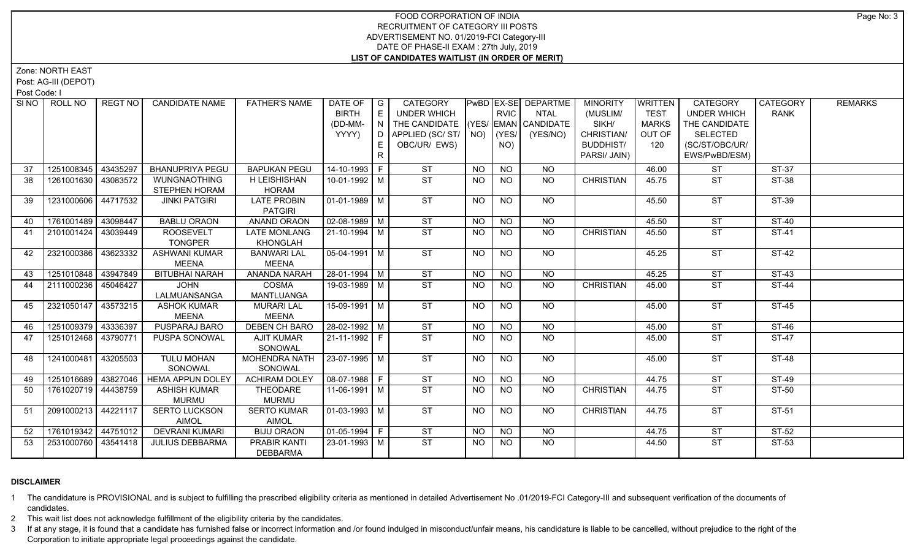Zone: NORTH EAST

Post: AG-III (DEPOT)

Post Code: I

| SI NO I | ROLL NO               | REGT NO  | <b>CANDIDATE NAME</b>                | <b>FATHER'S NAME</b>                   | DATE OF   G<br><b>BIRTH</b><br>(DD-MM- | E<br>N  | CATEGORY<br>UNDER WHICH<br>THE CANDIDATE (YES/ EMAN CANDIDATE |           | RVIC               | <b>PwBD EX-SE DEPARTME</b><br><b>NTAL</b> | <b>MINORITY</b><br>(MUSLIM/<br>SIKH/           | <b>WRITTEN</b><br><b>TEST</b><br><b>MARKS</b> | <b>CATEGORY</b><br><b>UNDER WHICH</b><br>THE CANDIDATE | CATEGORY<br><b>RANK</b> | <b>REMARKS</b> |
|---------|-----------------------|----------|--------------------------------------|----------------------------------------|----------------------------------------|---------|---------------------------------------------------------------|-----------|--------------------|-------------------------------------------|------------------------------------------------|-----------------------------------------------|--------------------------------------------------------|-------------------------|----------------|
|         |                       |          |                                      |                                        | YYYY)                                  | D.<br>E | APPLIED (SC/ST/<br>OBC/UR/ EWS)                               |           | $NO)$ (YES/<br>NO) | (YES/NO)                                  | CHRISTIAN/<br><b>BUDDHIST/</b><br>PARSI/ JAIN) | OUT OF<br>120                                 | <b>SELECTED</b><br>(SC/ST/OBC/UR/<br>EWS/PwBD/ESM)     |                         |                |
| 37      | 1251008345            | 43435297 | <b>BHANUPRIYA PEGU</b>               | <b>BAPUKAN PEGU</b>                    | 14-10-1993 F                           |         | <b>ST</b>                                                     | NO        | <b>NO</b>          | <b>NO</b>                                 |                                                | 46.00                                         | <b>ST</b>                                              | ST-37                   |                |
| 38      | 1261001630 43083572   |          | <b>WUNGNAOTHING</b><br>STEPHEN HORAM | H LEISHISHAN<br><b>HORAM</b>           | 10-01-1992 M                           |         | <b>ST</b>                                                     | <b>NO</b> | <b>NO</b>          | N <sub>O</sub>                            | <b>CHRISTIAN</b>                               | 45.75                                         | <b>ST</b>                                              | <b>ST-38</b>            |                |
| 39      | 1231000606 44717532   |          | <b>JINKI PATGIRI</b>                 | <b>LATE PROBIN</b><br><b>PATGIRI</b>   | $01-01-1989$ M                         |         | <b>ST</b>                                                     | NO        | <b>NO</b>          | <b>NO</b>                                 |                                                | 45.50                                         | <b>ST</b>                                              | ST-39                   |                |
| 40      | 1761001489 43098447   |          | <b>BABLU ORAON</b>                   | <b>ANAND ORAON</b>                     | $02-08-1989$ M                         |         | ST                                                            | NO        | $\overline{N}$     | $\overline{NQ}$                           |                                                | 45.50                                         | <b>ST</b>                                              | <b>ST-40</b>            |                |
| 41      | 2101001424   43039449 |          | <b>ROOSEVELT</b><br><b>TONGPER</b>   | <b>LATE MONLANG</b><br>KHONGLAH        | 21-10-1994 M                           |         | $\overline{\text{ST}}$                                        | <b>NO</b> | <b>NO</b>          | <b>NO</b>                                 | <b>CHRISTIAN</b>                               | 45.50                                         | <b>ST</b>                                              | ST-41                   |                |
| 42      | 2321000386 33623332   |          | <b>ASHWANI KUMAR</b><br><b>MEENA</b> | <b>BANWARI LAL</b><br><b>MEENA</b>     | $05-04-1991$ M                         |         | $\overline{\text{ST}}$                                        | NO.       | <b>NO</b>          | NO                                        |                                                | 45.25                                         | <b>ST</b>                                              | ST-42                   |                |
| 43      | 1251010848 43947849   |          | <b>BITUBHAI NARAH</b>                | ANANDA NARAH                           | $28-01-1994$ M                         |         | ST                                                            | <b>NO</b> | <b>NO</b>          | <b>NO</b>                                 |                                                | 45.25                                         | <b>ST</b>                                              | $ST-43$                 |                |
| 44      | 2111000236 45046427   |          | <b>JOHN</b><br>LALMUANSANGA          | COSMA<br><b>MANTLUANGA</b>             | 19-03-1989 M                           |         | $\overline{\text{ST}}$                                        | <b>NO</b> | <b>NO</b>          | N <sub>O</sub>                            | <b>CHRISTIAN</b>                               | 45.00                                         | <b>ST</b>                                              | $ST-44$                 |                |
| 45      | 2321050147 43573215   |          | <b>ASHOK KUMAR</b><br><b>MEENA</b>   | <b>MURARI LAL</b><br><b>MEENA</b>      | 15-09-1991 M                           |         | ST                                                            | NO        | N <sub>O</sub>     | N <sub>O</sub>                            |                                                | 45.00                                         | <b>ST</b>                                              | <b>ST-45</b>            |                |
| 46      | 1251009379 43336397   |          | PUSPARAJ BARO                        | DEBEN CH BARO                          | 28-02-1992 M                           |         | <b>ST</b>                                                     | NO.       | <b>NO</b>          | <b>NO</b>                                 |                                                | 45.00                                         | <b>ST</b>                                              | <b>ST-46</b>            |                |
| 47      | 1251012468 43790771   |          | PUSPA SONOWAL                        | <b>AJIT KUMAR</b><br>SONOWAL           | 21-11-1992 F                           |         | <b>ST</b>                                                     | <b>NO</b> | <b>NO</b>          | <b>NO</b>                                 |                                                | 45.00                                         | <b>ST</b>                                              | <b>ST-47</b>            |                |
| 48      | 1241000481            | 43205503 | <b>TULU MOHAN</b><br>SONOWAL         | <b>MOHENDRA NATH</b><br>SONOWAL        | 23-07-1995 M                           |         | ST                                                            | <b>NO</b> | $\overline{NQ}$    | $N$ <sup>O</sup>                          |                                                | 45.00                                         | <b>ST</b>                                              | $ST-48$                 |                |
| 49      | 1251016689            | 43827046 | <b>HEMA APPUN DOLEY</b>              | <b>ACHIRAM DOLEY</b>                   | 08-07-1988 F                           |         | $\overline{\text{ST}}$                                        | NO        | N <sub>O</sub>     | N <sub>O</sub>                            |                                                | 44.75                                         | <b>ST</b>                                              | $ST-49$                 |                |
| 50      | 1761020719 44438759   |          | <b>ASHISH KUMAR</b><br><b>MURMU</b>  | THEODARE<br><b>MURMU</b>               | $11-06-1991$ M                         |         | $\overline{\text{ST}}$                                        | NO.       | NO.                | <b>NO</b>                                 | <b>CHRISTIAN</b>                               | 44.75                                         | <b>ST</b>                                              | ST-50                   |                |
| 51      | 2091000213 44221117   |          | SERTO LUCKSON<br><b>AIMOL</b>        | <b>SERTO KUMAR</b><br><b>AIMOL</b>     | $01-03-1993$ M                         |         | $\overline{\text{ST}}$                                        | <b>NO</b> | N <sub>O</sub>     | NO.                                       | <b>CHRISTIAN</b>                               | 44.75                                         | $\overline{\text{ST}}$                                 | $ST-51$                 |                |
| 52      | 1761019342 44751012   |          | <b>DEVRANI KUMARI</b>                | <b>BIJU ORAON</b>                      | $01-05-1994$ F                         |         | ST                                                            | <b>NO</b> | NO                 | <b>NO</b>                                 |                                                | 44.75                                         | <b>ST</b>                                              | ST-52                   |                |
| 53      | 2531000760 43541418   |          | <b>JULIUS DEBBARMA</b>               | <b>PRABIR KANTI</b><br><b>DEBBARMA</b> | $23 - 01 - 1993$ M                     |         | <b>ST</b>                                                     | NO        | <b>NO</b>          | N <sub>O</sub>                            |                                                | 44.50                                         | <b>ST</b>                                              | ST-53                   |                |

# **DISCLAIMER**

1 The candidature is PROVISIONAL and is subject to fulfilling the prescribed eligibility criteria as mentioned in detailed Advertisement No .01/2019-FCI Category-III and subsequent verification of the documents of candidates.

2 This wait list does not acknowledge fulfillment of the eligibility criteria by the candidates.

3 If at any stage, it is found that a candidate has furnished false or incorrect information and /or found indulged in misconduct/unfair means, his candidature is liable to be cancelled, without prejudice to the right of t Corporation to initiate appropriate legal proceedings against the candidate.